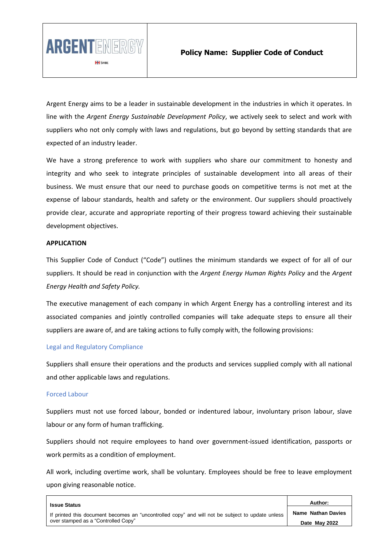

Argent Energy aims to be a leader in sustainable development in the industries in which it operates. In line with the *Argent Energy Sustainable Development Policy*, we actively seek to select and work with suppliers who not only comply with laws and regulations, but go beyond by setting standards that are expected of an industry leader.

We have a strong preference to work with suppliers who share our commitment to honesty and integrity and who seek to integrate principles of sustainable development into all areas of their business. We must ensure that our need to purchase goods on competitive terms is not met at the expense of labour standards, health and safety or the environment. Our suppliers should proactively provide clear, accurate and appropriate reporting of their progress toward achieving their sustainable development objectives.

## **APPLICATION**

This Supplier Code of Conduct ("Code") outlines the minimum standards we expect of for all of our suppliers. It should be read in conjunction with the *Argent Energy Human Rights Policy* and the *Argent Energy Health and Safety Policy.*

The executive management of each company in which Argent Energy has a controlling interest and its associated companies and jointly controlled companies will take adequate steps to ensure all their suppliers are aware of, and are taking actions to fully comply with, the following provisions:

## Legal and Regulatory Compliance

Suppliers shall ensure their operations and the products and services supplied comply with all national and other applicable laws and regulations.

#### Forced Labour

Suppliers must not use forced labour, bonded or indentured labour, involuntary prison labour, slave labour or any form of human trafficking.

Suppliers should not require employees to hand over government-issued identification, passports or work permits as a condition of employment.

All work, including overtime work, shall be voluntary. Employees should be free to leave employment upon giving reasonable notice.

| <b>Issue Status</b>                                                                              | Author:                   |
|--------------------------------------------------------------------------------------------------|---------------------------|
| If printed this document becomes an "uncontrolled copy" and will not be subject to update unless | <b>Name Nathan Davies</b> |
| over stamped as a "Controlled Copy"                                                              | Date May 2022             |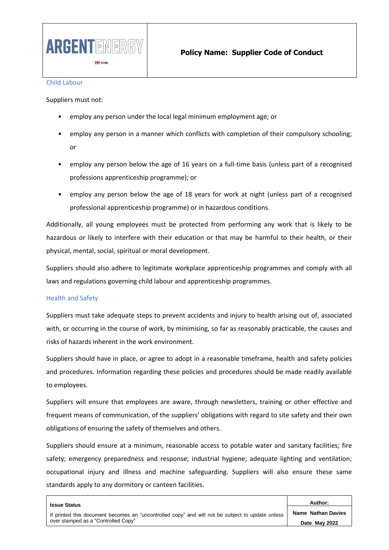

#### Child Labour

Suppliers must not:

- employ any person under the local legal minimum employment age; or
- employ any person in a manner which conflicts with completion of their compulsory schooling; or
- employ any person below the age of 16 years on a full-time basis (unless part of a recognised professions apprenticeship programme); or
- employ any person below the age of 18 years for work at night (unless part of a recognised professional apprenticeship programme) or in hazardous conditions.

Additionally, all young employees must be protected from performing any work that is likely to be hazardous or likely to interfere with their education or that may be harmful to their health, or their physical, mental, social, spiritual or moral development.

Suppliers should also adhere to legitimate workplace apprenticeship programmes and comply with all laws and regulations governing child labour and apprenticeship programmes.

## Health and Safety

Suppliers must take adequate steps to prevent accidents and injury to health arising out of, associated with, or occurring in the course of work, by minimising, so far as reasonably practicable, the causes and risks of hazards inherent in the work environment.

Suppliers should have in place, or agree to adopt in a reasonable timeframe, health and safety policies and procedures. Information regarding these policies and procedures should be made readily available to employees.

Suppliers will ensure that employees are aware, through newsletters, training or other effective and frequent means of communication, of the suppliers' obligations with regard to site safety and their own obligations of ensuring the safety of themselves and others.

Suppliers should ensure at a minimum, reasonable access to potable water and sanitary facilities; fire safety; emergency preparedness and response; industrial hygiene; adequate lighting and ventilation; occupational injury and illness and machine safeguarding. Suppliers will also ensure these same standards apply to any dormitory or canteen facilities.

| <b>Issue Status</b>                                                                              | Author:                   |
|--------------------------------------------------------------------------------------------------|---------------------------|
| If printed this document becomes an "uncontrolled copy" and will not be subject to update unless | <b>Name Nathan Davies</b> |
| over stamped as a "Controlled Copy"                                                              | Date May 2022             |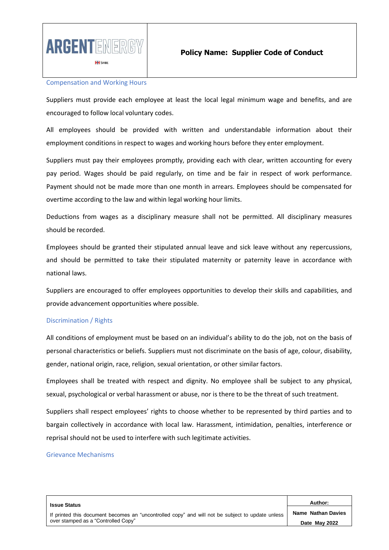

#### Compensation and Working Hours

Suppliers must provide each employee at least the local legal minimum wage and benefits, and are encouraged to follow local voluntary codes.

All employees should be provided with written and understandable information about their employment conditions in respect to wages and working hours before they enter employment.

Suppliers must pay their employees promptly, providing each with clear, written accounting for every pay period. Wages should be paid regularly, on time and be fair in respect of work performance. Payment should not be made more than one month in arrears. Employees should be compensated for overtime according to the law and within legal working hour limits.

Deductions from wages as a disciplinary measure shall not be permitted. All disciplinary measures should be recorded.

Employees should be granted their stipulated annual leave and sick leave without any repercussions, and should be permitted to take their stipulated maternity or paternity leave in accordance with national laws.

Suppliers are encouraged to offer employees opportunities to develop their skills and capabilities, and provide advancement opportunities where possible.

## Discrimination / Rights

All conditions of employment must be based on an individual's ability to do the job, not on the basis of personal characteristics or beliefs. Suppliers must not discriminate on the basis of age, colour, disability, gender, national origin, race, religion, sexual orientation, or other similar factors.

Employees shall be treated with respect and dignity. No employee shall be subject to any physical, sexual, psychological or verbal harassment or abuse, nor is there to be the threat of such treatment.

Suppliers shall respect employees' rights to choose whether to be represented by third parties and to bargain collectively in accordance with local law. Harassment, intimidation, penalties, interference or reprisal should not be used to interfere with such legitimate activities.

#### Grievance Mechanisms

| <b>Issue Status</b>                                                                                                                     | Author:                   |
|-----------------------------------------------------------------------------------------------------------------------------------------|---------------------------|
| If printed this document becomes an "uncontrolled copy" and will not be subject to update unless<br>over stamped as a "Controlled Copy" | <b>Name Nathan Davies</b> |
|                                                                                                                                         | Date May 2022             |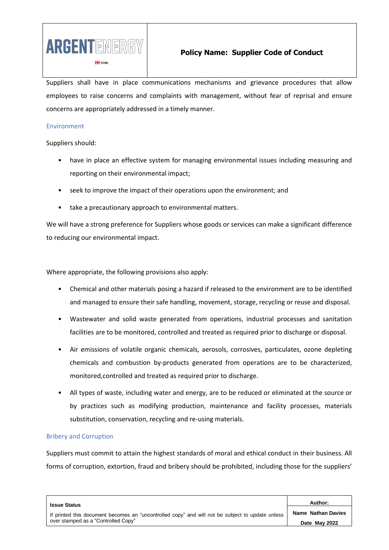

Suppliers shall have in place communications mechanisms and grievance procedures that allow employees to raise concerns and complaints with management, without fear of reprisal and ensure concerns are appropriately addressed in a timely manner.

#### Environment

Suppliers should:

- have in place an effective system for managing environmental issues including measuring and reporting on their environmental impact;
- seek to improve the impact of their operations upon the environment; and
- take a precautionary approach to environmental matters.

We will have a strong preference for Suppliers whose goods or services can make a significant difference to reducing our environmental impact.

Where appropriate, the following provisions also apply:

- Chemical and other materials posing a hazard if released to the environment are to be identified and managed to ensure their safe handling, movement, storage, recycling or reuse and disposal.
- Wastewater and solid waste generated from operations, industrial processes and sanitation facilities are to be monitored, controlled and treated as required prior to discharge or disposal.
- Air emissions of volatile organic chemicals, aerosols, corrosives, particulates, ozone depleting chemicals and combustion by-products generated from operations are to be characterized, monitored,controlled and treated as required prior to discharge.
- All types of waste, including water and energy, are to be reduced or eliminated at the source or by practices such as modifying production, maintenance and facility processes, materials substitution, conservation, recycling and re-using materials.

## Bribery and Corruption

Suppliers must commit to attain the highest standards of moral and ethical conduct in their business. All forms of corruption, extortion, fraud and bribery should be prohibited, including those for the suppliers'

| <b>Issue Status</b>                                                                                                                     | Author:                   |
|-----------------------------------------------------------------------------------------------------------------------------------------|---------------------------|
| If printed this document becomes an "uncontrolled copy" and will not be subject to update unless<br>over stamped as a "Controlled Copy" | <b>Name Nathan Davies</b> |
|                                                                                                                                         | Date May 2022             |